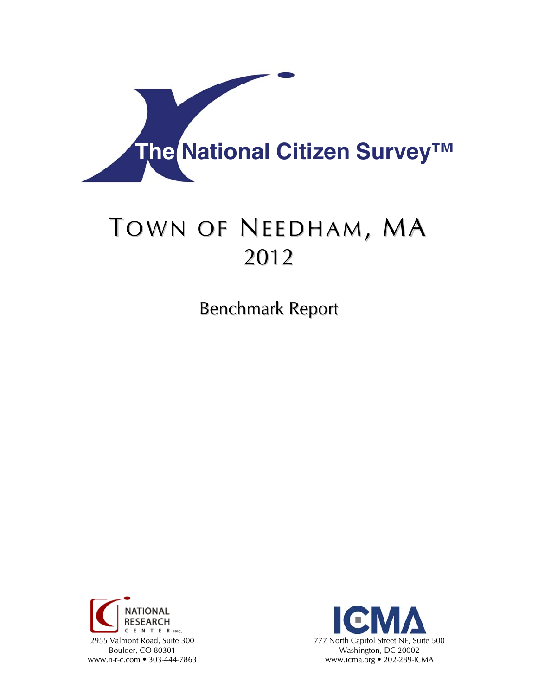

# TOWN OF NEEDHAM, MA 2012

Benchmark Report



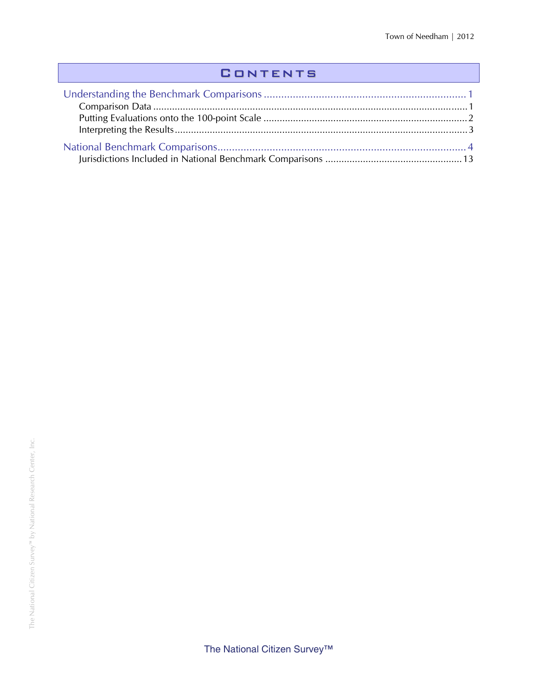## **CONTENTS**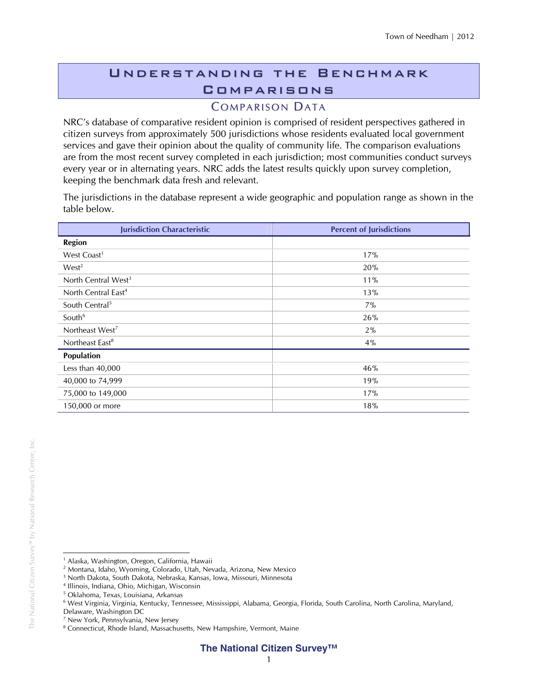# Understanding the Benchmark **COMPARISONS**

## **COMPARISON DATA**

NRC's database of comparative resident opinion is comprised of resident perspectives gathered in citizen surveys from approximately 500 jurisdictions whose residents evaluated local government services and gave their opinion about the quality of community life. The comparison evaluations are from the most recent survey completed in each jurisdiction; most communities conduct surveys every year or in alternating years. NRC adds the latest results quickly upon survey completion, keeping the benchmark data fresh and relevant.

The jurisdictions in the database represent a wide geographic and population range as shown in the table below.

| <b>Jurisdiction Characteristic</b> | <b>Percent of Jurisdictions</b> |
|------------------------------------|---------------------------------|
| <b>Region</b>                      |                                 |
| West Coast <sup>1</sup>            | 17%                             |
| West <sup>2</sup>                  | 20%                             |
| North Central West <sup>3</sup>    | 11%                             |
| North Central East <sup>4</sup>    | 13%                             |
| South Central <sup>5</sup>         | 7%                              |
| South <sup>6</sup>                 | 26%                             |
| Northeast West <sup>7</sup>        | $2\%$                           |
| Northeast East <sup>8</sup>        | 4%                              |
| Population                         |                                 |
| Less than $40,000$                 | 46%                             |
| 40,000 to 74,999                   | 19%                             |
| 75,000 to 149,000                  | 17%                             |
| 150,000 or more                    | 18%                             |

 $\overline{a}$ <sup>1</sup> Alaska, Washington, Oregon, California, Hawaii

<sup>2</sup> Montana, Idaho, Wyoming, Colorado, Utah, Nevada, Arizona, New Mexico

<sup>3</sup> North Dakota, South Dakota, Nebraska, Kansas, Iowa, Missouri, Minnesota

<sup>4</sup> Illinois, Indiana, Ohio, Michigan, Wisconsin

<sup>5</sup> Oklahoma, Texas, Louisiana, Arkansas

<sup>6</sup> West Virginia, Virginia, Kentucky, Tennessee, Mississippi, Alabama, Georgia, Florida, South Carolina, North Carolina, Maryland,

Delaware, Washington DC

<sup>7</sup> New York, Pennsylvania, New Jersey

<sup>&</sup>lt;sup>8</sup> Connecticut, Rhode Island, Massachusetts, New Hampshire, Vermont, Maine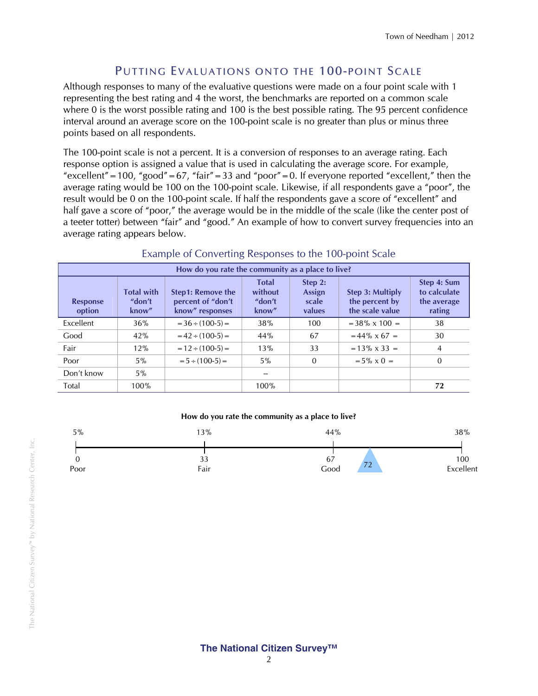## PUTTING EVALUATIONS ONTO THE 100-POINT SCALE

Although responses to many of the evaluative questions were made on a four point scale with 1 representing the best rating and 4 the worst, the benchmarks are reported on a common scale where 0 is the worst possible rating and 100 is the best possible rating. The 95 percent confidence interval around an average score on the 100-point scale is no greater than plus or minus three points based on all respondents.

The 100-point scale is not a percent. It is a conversion of responses to an average rating. Each response option is assigned a value that is used in calculating the average score. For example, "excellent" = 100, "good" = 67, "fair" = 33 and "poor" = 0. If everyone reported "excellent," then the average rating would be 100 on the 100-point scale. Likewise, if all respondents gave a "poor", the result would be 0 on the 100-point scale. If half the respondents gave a score of "excellent" and half gave a score of "poor," the average would be in the middle of the scale (like the center post of a teeter totter) between "fair" and "good." An example of how to convert survey frequencies into an average rating appears below.

| How do you rate the community as a place to live? |                                      |                                                                  |                                            |                                      |                                                       |                                                      |  |
|---------------------------------------------------|--------------------------------------|------------------------------------------------------------------|--------------------------------------------|--------------------------------------|-------------------------------------------------------|------------------------------------------------------|--|
| <b>Response</b><br>option                         | <b>Total with</b><br>"don't<br>know" | <b>Step1: Remove the</b><br>percent of "don't<br>know" responses | <b>Total</b><br>without<br>"don't<br>know" | Step 2:<br>Assign<br>scale<br>values | Step 3: Multiply<br>the percent by<br>the scale value | Step 4: Sum<br>to calculate<br>the average<br>rating |  |
| Excellent                                         | 36%                                  | $= 36 \div (100-5) =$                                            | 38%                                        | 100                                  | $=$ 38% x 100 $=$                                     | 38                                                   |  |
| Good                                              | 42%                                  | $= 42 \div (100-5) =$                                            | 44%                                        | 67                                   | $= 44\% \times 67 =$                                  | 30                                                   |  |
| Fair                                              | 12%                                  | $= 12 \div (100-5) =$                                            | 13%                                        | 33                                   | $= 13\% \times 33 =$                                  | 4                                                    |  |
| Poor                                              | $5\%$                                | $= 5 \div (100-5) =$                                             | $5\%$                                      | $\mathbf{0}$                         | $= 5\% \times 0 =$                                    | $\Omega$                                             |  |
| Don't know                                        | $5\%$                                |                                                                  |                                            |                                      |                                                       |                                                      |  |
| Total                                             | 100%                                 |                                                                  | 100%                                       |                                      |                                                       | 72                                                   |  |

#### Example of Converting Responses to the 100-point Scale

#### **How do you rate the community as a place to live?**

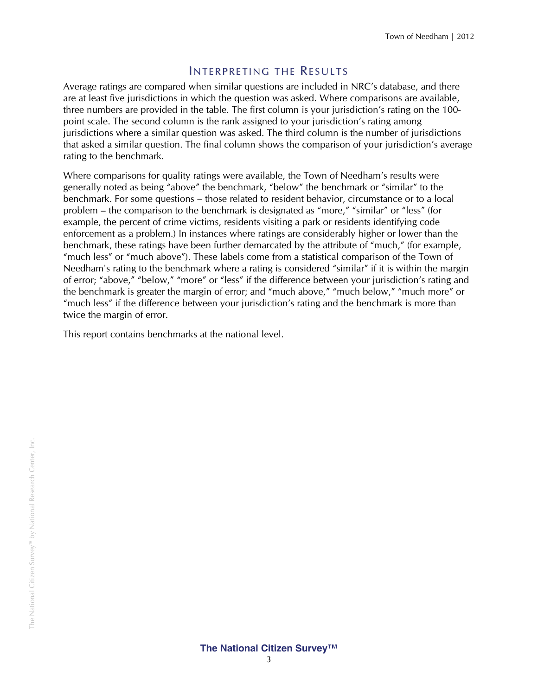## INTERPRETING THE RESULTS

Average ratings are compared when similar questions are included in NRC's database, and there are at least five jurisdictions in which the question was asked. Where comparisons are available, three numbers are provided in the table. The first column is your jurisdiction's rating on the 100 point scale. The second column is the rank assigned to your jurisdiction's rating among jurisdictions where a similar question was asked. The third column is the number of jurisdictions that asked a similar question. The final column shows the comparison of your jurisdiction's average rating to the benchmark.

Where comparisons for quality ratings were available, the Town of Needham's results were generally noted as being "above" the benchmark, "below" the benchmark or "similar" to the benchmark. For some questions – those related to resident behavior, circumstance or to a local problem – the comparison to the benchmark is designated as "more," "similar" or "less" (for example, the percent of crime victims, residents visiting a park or residents identifying code enforcement as a problem.) In instances where ratings are considerably higher or lower than the benchmark, these ratings have been further demarcated by the attribute of "much," (for example, "much less" or "much above"). These labels come from a statistical comparison of the Town of Needham's rating to the benchmark where a rating is considered "similar" if it is within the margin of error; "above," "below," "more" or "less" if the difference between your jurisdiction's rating and the benchmark is greater the margin of error; and "much above," "much below," "much more" or "much less" if the difference between your jurisdiction's rating and the benchmark is more than twice the margin of error.

This report contains benchmarks at the national level.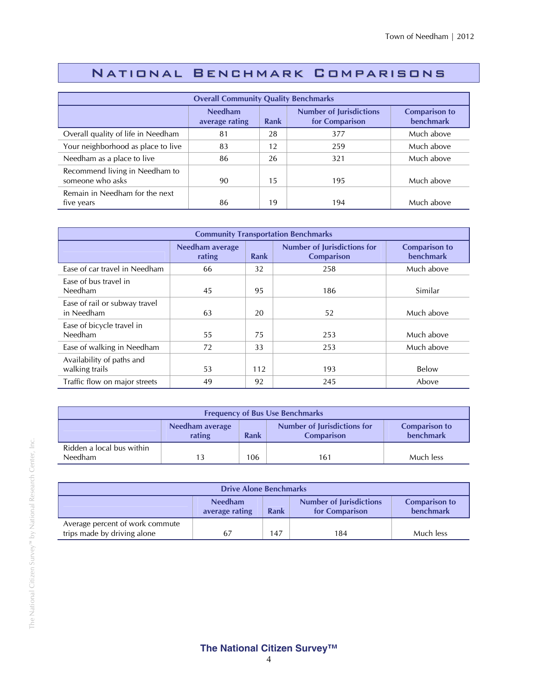## National Benchmark Comparisons

| <b>Overall Community Quality Benchmarks</b>                                                                                              |    |    |     |            |  |  |
|------------------------------------------------------------------------------------------------------------------------------------------|----|----|-----|------------|--|--|
| <b>Number of Jurisdictions</b><br><b>Needham</b><br><b>Comparison to</b><br><b>benchmark</b><br>for Comparison<br>Rank<br>average rating |    |    |     |            |  |  |
| Overall quality of life in Needham                                                                                                       | 81 | 28 | 377 | Much above |  |  |
| Your neighborhood as place to live                                                                                                       | 83 | 12 | 259 | Much above |  |  |
| Needham as a place to live                                                                                                               | 86 | 26 | 321 | Much above |  |  |
| Recommend living in Needham to<br>someone who asks                                                                                       | 90 | 15 | 195 | Much above |  |  |
| Remain in Needham for the next<br>five years                                                                                             | 86 | 19 | 194 | Much above |  |  |

| <b>Community Transportation Benchmarks</b>  |                           |      |                                                         |                                          |  |  |
|---------------------------------------------|---------------------------|------|---------------------------------------------------------|------------------------------------------|--|--|
|                                             | Needham average<br>rating | Rank | <b>Number of Jurisdictions for</b><br><b>Comparison</b> | <b>Comparison to</b><br><b>benchmark</b> |  |  |
| Ease of car travel in Needham               | 66                        | 32   | 258                                                     | Much above                               |  |  |
| Ease of bus travel in<br><b>Needham</b>     | 45                        | 95   | 186                                                     | Similar                                  |  |  |
| Ease of rail or subway travel<br>in Needham | 63                        | 20   | 52                                                      | Much above                               |  |  |
| Ease of bicycle travel in<br><b>Needham</b> | 55                        | 75   | 253                                                     | Much above                               |  |  |
| Ease of walking in Needham                  | 72                        | 33   | 253                                                     | Much above                               |  |  |
| Availability of paths and<br>walking trails | 53                        | 112  | 193                                                     | Below                                    |  |  |
| Traffic flow on major streets               | 49                        | 92   | 245                                                     | Above                                    |  |  |

| <b>Frequency of Bus Use Benchmarks</b>                                                                                                   |  |  |  |  |  |  |
|------------------------------------------------------------------------------------------------------------------------------------------|--|--|--|--|--|--|
| <b>Number of Jurisdictions for</b><br>Needham average<br><b>Comparison to</b><br><b>benchmark</b><br>rating<br>Rank<br><b>Comparison</b> |  |  |  |  |  |  |
| Ridden a local bus within<br>Needham<br>Much less<br>106<br>161<br>13                                                                    |  |  |  |  |  |  |

| <b>Drive Alone Benchmarks</b>                                                                                                     |    |     |     |           |  |  |
|-----------------------------------------------------------------------------------------------------------------------------------|----|-----|-----|-----------|--|--|
| <b>Number of Jurisdictions</b><br><b>Needham</b><br><b>Comparison to</b><br>benchmark<br>for Comparison<br>average rating<br>Rank |    |     |     |           |  |  |
| Average percent of work commute<br>trips made by driving alone                                                                    | 67 | 147 | 184 | Much less |  |  |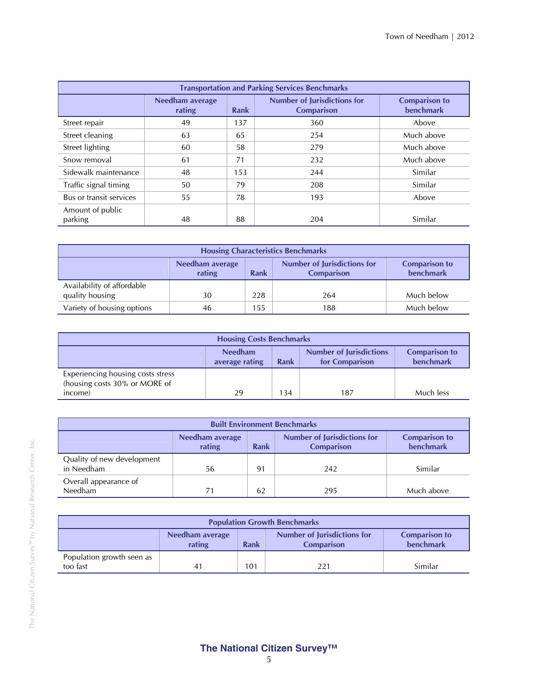| <b>Transportation and Parking Services Benchmarks</b> |                                  |      |                                                  |                                          |  |  |  |
|-------------------------------------------------------|----------------------------------|------|--------------------------------------------------|------------------------------------------|--|--|--|
|                                                       | <b>Needham average</b><br>rating | Rank | <b>Number of Jurisdictions for</b><br>Comparison | <b>Comparison to</b><br><b>benchmark</b> |  |  |  |
| Street repair                                         | 49                               | 137  | 360                                              | Above                                    |  |  |  |
| Street cleaning                                       | 63                               | 65   | 254                                              | Much above                               |  |  |  |
| Street lighting                                       | 60                               | 58   | 279                                              | Much above                               |  |  |  |
| Snow removal                                          | 61                               | 71   | 232                                              | Much above                               |  |  |  |
| Sidewalk maintenance                                  | 48                               | 153  | 244                                              | Similar                                  |  |  |  |
| Traffic signal timing                                 | 50                               | 79   | 208                                              | Similar                                  |  |  |  |
| Bus or transit services                               | 55                               | 78   | 193                                              | Above                                    |  |  |  |
| Amount of public<br>parking                           | 48                               | 88   | 204                                              | Similar                                  |  |  |  |

| <b>Housing Characteristics Benchmarks</b>                                                                                                |    |     |     |            |  |  |
|------------------------------------------------------------------------------------------------------------------------------------------|----|-----|-----|------------|--|--|
| <b>Number of Jurisdictions for</b><br>Needham average<br><b>Comparison to</b><br><b>benchmark</b><br>rating<br><b>Comparison</b><br>Rank |    |     |     |            |  |  |
| Availability of affordable<br>quality housing                                                                                            | 30 | 228 | 264 | Much below |  |  |
| Variety of housing options                                                                                                               | 46 | 155 | 188 | Much below |  |  |

| <b>Housing Costs Benchmarks</b>                                                                                                          |    |     |     |           |  |  |
|------------------------------------------------------------------------------------------------------------------------------------------|----|-----|-----|-----------|--|--|
| <b>Number of Jurisdictions</b><br><b>Needham</b><br><b>Comparison to</b><br><b>benchmark</b><br>Rank<br>for Comparison<br>average rating |    |     |     |           |  |  |
| Experiencing housing costs stress<br>(housing costs 30% or MORE of                                                                       |    |     |     |           |  |  |
| income)                                                                                                                                  | 29 | 134 | 187 | Much less |  |  |

| <b>Built Environment Benchmarks</b>                                                                                                      |    |    |     |            |  |  |
|------------------------------------------------------------------------------------------------------------------------------------------|----|----|-----|------------|--|--|
| <b>Number of Jurisdictions for</b><br><b>Comparison to</b><br>Needham average<br><b>benchmark</b><br>rating<br><b>Comparison</b><br>Rank |    |    |     |            |  |  |
| Quality of new development<br>in Needham                                                                                                 | 56 | 91 | 242 | Similar    |  |  |
| Overall appearance of<br>Needham                                                                                                         |    | 62 | 295 | Much above |  |  |

| <b>Population Growth Benchmarks</b>                                                                                               |    |     |     |         |  |  |
|-----------------------------------------------------------------------------------------------------------------------------------|----|-----|-----|---------|--|--|
| <b>Number of Jurisdictions for</b><br>Needham average<br><b>Comparison to</b><br>benchmark<br>Rank<br><b>Comparison</b><br>rating |    |     |     |         |  |  |
| Population growth seen as<br>too fast                                                                                             | 41 | 101 | 221 | Similar |  |  |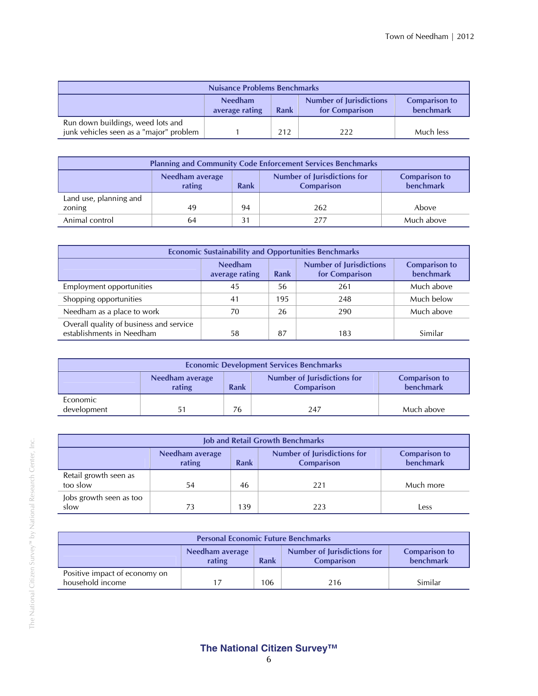| <b>Nuisance Problems Benchmarks</b>                                          |                                                                                                                                          |     |     |           |  |  |
|------------------------------------------------------------------------------|------------------------------------------------------------------------------------------------------------------------------------------|-----|-----|-----------|--|--|
|                                                                              | <b>Number of Jurisdictions</b><br><b>Needham</b><br><b>Comparison to</b><br>benchmark<br><b>Rank</b><br>for Comparison<br>average rating |     |     |           |  |  |
| Run down buildings, weed lots and<br>junk vehicles seen as a "major" problem |                                                                                                                                          | 212 | 222 | Much less |  |  |

| <b>Planning and Community Code Enforcement Services Benchmarks</b>                                                                              |    |    |     |            |  |  |
|-------------------------------------------------------------------------------------------------------------------------------------------------|----|----|-----|------------|--|--|
| <b>Number of Jurisdictions for</b><br>Needham average<br><b>Comparison to</b><br><b>benchmark</b><br><b>Rank</b><br>rating<br><b>Comparison</b> |    |    |     |            |  |  |
| Land use, planning and                                                                                                                          |    |    |     |            |  |  |
| zoning                                                                                                                                          | 49 | 94 | 262 | Above      |  |  |
| Animal control                                                                                                                                  | 64 | 31 | 277 | Much above |  |  |

| <b>Economic Sustainability and Opportunities Benchmarks</b>                                                                              |    |     |     |            |  |  |
|------------------------------------------------------------------------------------------------------------------------------------------|----|-----|-----|------------|--|--|
| <b>Number of Jurisdictions</b><br><b>Needham</b><br><b>Comparison to</b><br><b>benchmark</b><br>for Comparison<br>Rank<br>average rating |    |     |     |            |  |  |
| Employment opportunities                                                                                                                 | 45 | 56  | 261 | Much above |  |  |
| Shopping opportunities                                                                                                                   | 41 | 195 | 248 | Much below |  |  |
| Needham as a place to work                                                                                                               | 70 | 26  | 290 | Much above |  |  |
| Overall quality of business and service<br>establishments in Needham                                                                     | 58 | 87  | 183 | Similar    |  |  |

| <b>Economic Development Services Benchmarks</b> |                                                                                                                                   |    |     |            |  |  |
|-------------------------------------------------|-----------------------------------------------------------------------------------------------------------------------------------|----|-----|------------|--|--|
|                                                 | <b>Number of Jurisdictions for</b><br><b>Comparison to</b><br>Needham average<br>benchmark<br>rating<br>Rank<br><b>Comparison</b> |    |     |            |  |  |
| Economic<br>development                         | 51                                                                                                                                | 76 | 247 | Much above |  |  |

| <b>Job and Retail Growth Benchmarks</b>                                                                                                         |    |     |     |           |  |  |  |
|-------------------------------------------------------------------------------------------------------------------------------------------------|----|-----|-----|-----------|--|--|--|
| <b>Number of Jurisdictions for</b><br>Needham average<br><b>Comparison to</b><br><b>benchmark</b><br>rating<br><b>Rank</b><br><b>Comparison</b> |    |     |     |           |  |  |  |
| Retail growth seen as<br>too slow                                                                                                               | 54 | 46  | 221 | Much more |  |  |  |
| Jobs growth seen as too<br>slow                                                                                                                 | 73 | 139 | 223 | Less      |  |  |  |

| <b>Personal Economic Future Benchmarks</b>                                                                                        |  |     |     |         |  |  |
|-----------------------------------------------------------------------------------------------------------------------------------|--|-----|-----|---------|--|--|
| <b>Number of Jurisdictions for</b><br><b>Comparison to</b><br>Needham average<br>benchmark<br>Rank<br>rating<br><b>Comparison</b> |  |     |     |         |  |  |
| Positive impact of economy on<br>household income                                                                                 |  | 106 | 216 | Similar |  |  |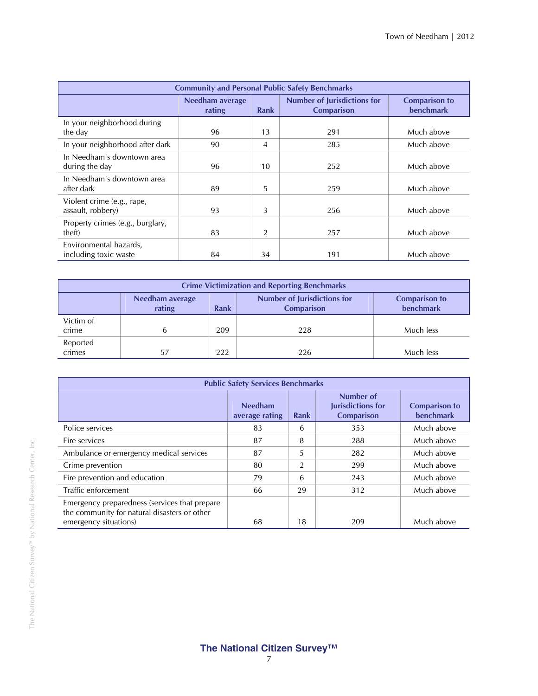| <b>Community and Personal Public Safety Benchmarks</b> |                           |                |                                                         |                                          |  |  |
|--------------------------------------------------------|---------------------------|----------------|---------------------------------------------------------|------------------------------------------|--|--|
|                                                        | Needham average<br>rating | Rank           | <b>Number of Jurisdictions for</b><br><b>Comparison</b> | <b>Comparison to</b><br><b>benchmark</b> |  |  |
| In your neighborhood during<br>the day                 | 96                        | 13             | 291                                                     | Much above                               |  |  |
| In your neighborhood after dark                        | 90                        | 4              | 285                                                     | Much above                               |  |  |
| In Needham's downtown area<br>during the day           | 96                        | 10             | 252                                                     | Much above                               |  |  |
| In Needham's downtown area<br>after dark               | 89                        | 5              | 259                                                     | Much above                               |  |  |
| Violent crime (e.g., rape,<br>assault, robbery)        | 93                        | 3              | 256                                                     | Much above                               |  |  |
| Property crimes (e.g., burglary,<br>theft)             | 83                        | $\overline{2}$ | 257                                                     | Much above                               |  |  |
| Environmental hazards,<br>including toxic waste        | 84                        | 34             | 191                                                     | Much above                               |  |  |

| <b>Crime Victimization and Reporting Benchmarks</b> |                                                                                                                                                 |     |     |           |  |  |  |
|-----------------------------------------------------|-------------------------------------------------------------------------------------------------------------------------------------------------|-----|-----|-----------|--|--|--|
|                                                     | <b>Number of Jurisdictions for</b><br>Needham average<br><b>Comparison to</b><br><b>benchmark</b><br>rating<br><b>Comparison</b><br><b>Rank</b> |     |     |           |  |  |  |
| Victim of<br>crime                                  | b                                                                                                                                               | 209 | 228 | Much less |  |  |  |
| Reported<br>crimes                                  | 57                                                                                                                                              | 222 | 226 | Much less |  |  |  |

| <b>Public Safety Services Benchmarks</b>                                                                               |                                  |      |                                                     |                                          |  |  |
|------------------------------------------------------------------------------------------------------------------------|----------------------------------|------|-----------------------------------------------------|------------------------------------------|--|--|
|                                                                                                                        | <b>Needham</b><br>average rating | Rank | Number of<br>Jurisdictions for<br><b>Comparison</b> | <b>Comparison to</b><br><b>benchmark</b> |  |  |
| Police services                                                                                                        | 83                               | 6    | 353                                                 | Much above                               |  |  |
| Fire services                                                                                                          | 87                               | 8    | 288                                                 | Much above                               |  |  |
| Ambulance or emergency medical services                                                                                | 87                               | 5    | 282                                                 | Much above                               |  |  |
| Crime prevention                                                                                                       | 80                               | 2    | 299                                                 | Much above                               |  |  |
| Fire prevention and education                                                                                          | 79                               | 6    | 243                                                 | Much above                               |  |  |
| Traffic enforcement                                                                                                    | 66                               | 29   | 312                                                 | Much above                               |  |  |
| Emergency preparedness (services that prepare<br>the community for natural disasters or other<br>emergency situations) | 68                               | 18   | 209                                                 | Much above                               |  |  |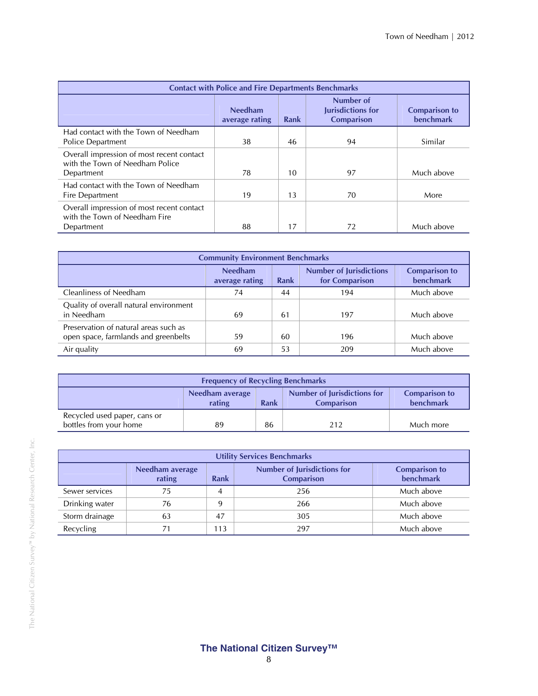| <b>Contact with Police and Fire Departments Benchmarks</b>                                 |                                  |      |                                                            |                                          |  |
|--------------------------------------------------------------------------------------------|----------------------------------|------|------------------------------------------------------------|------------------------------------------|--|
|                                                                                            | <b>Needham</b><br>average rating | Rank | Number of<br><b>Jurisdictions for</b><br><b>Comparison</b> | <b>Comparison to</b><br><b>benchmark</b> |  |
| Had contact with the Town of Needham<br>Police Department                                  | 38                               | 46   | 94                                                         | Similar                                  |  |
| Overall impression of most recent contact<br>with the Town of Needham Police<br>Department | 78                               | 10   | 97                                                         | Much above                               |  |
| Had contact with the Town of Needham<br>Fire Department                                    | 19                               | 13   | 70                                                         | More                                     |  |
| Overall impression of most recent contact<br>with the Town of Needham Fire<br>Department   | 88                               | 17   | 72                                                         | Much above                               |  |

| <b>Community Environment Benchmarks</b>                                       |                                                                                                                                          |    |     |            |  |  |
|-------------------------------------------------------------------------------|------------------------------------------------------------------------------------------------------------------------------------------|----|-----|------------|--|--|
|                                                                               | <b>Number of Jurisdictions</b><br><b>Needham</b><br><b>Comparison to</b><br><b>benchmark</b><br>for Comparison<br>average rating<br>Rank |    |     |            |  |  |
| Cleanliness of Needham                                                        | 74                                                                                                                                       | 44 | 194 | Much above |  |  |
| Quality of overall natural environment<br>in Needham                          | 69                                                                                                                                       | 61 | 197 | Much above |  |  |
| Preservation of natural areas such as<br>open space, farmlands and greenbelts | 59                                                                                                                                       | 60 | 196 | Much above |  |  |
| Air quality                                                                   | 69                                                                                                                                       | 53 | 209 | Much above |  |  |

| <b>Frequency of Recycling Benchmarks</b>                                                                                          |    |    |     |           |  |  |
|-----------------------------------------------------------------------------------------------------------------------------------|----|----|-----|-----------|--|--|
| Number of Jurisdictions for<br>Needham average<br><b>Comparison to</b><br>benchmark<br><b>Rank</b><br>rating<br><b>Comparison</b> |    |    |     |           |  |  |
| Recycled used paper, cans or<br>bottles from your home                                                                            | 89 | 86 | 212 | Much more |  |  |

| <b>Utility Services Benchmarks</b>                                                                                                |    |     |     |            |  |  |
|-----------------------------------------------------------------------------------------------------------------------------------|----|-----|-----|------------|--|--|
| <b>Number of Jurisdictions for</b><br><b>Comparison to</b><br>Needham average<br>benchmark<br>rating<br><b>Comparison</b><br>Rank |    |     |     |            |  |  |
| Sewer services                                                                                                                    | 75 | 4   | 256 | Much above |  |  |
| Drinking water                                                                                                                    | 76 | 9   | 266 | Much above |  |  |
| Storm drainage                                                                                                                    | 63 | 47  | 305 | Much above |  |  |
| Recycling                                                                                                                         |    | 113 | 297 | Much above |  |  |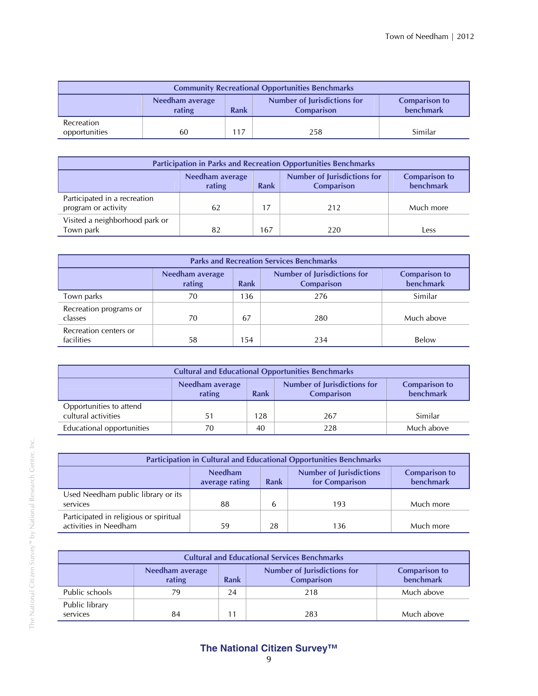| <b>Community Recreational Opportunities Benchmarks</b>                                                                            |    |     |     |         |  |  |
|-----------------------------------------------------------------------------------------------------------------------------------|----|-----|-----|---------|--|--|
| <b>Number of Jurisdictions for</b><br><b>Comparison to</b><br>Needham average<br>benchmark<br>rating<br>Rank<br><b>Comparison</b> |    |     |     |         |  |  |
| Recreation<br>opportunities                                                                                                       | 60 | 117 | 258 | Similar |  |  |

| <b>Participation in Parks and Recreation Opportunities Benchmarks</b>                                                             |    |     |     |           |  |  |
|-----------------------------------------------------------------------------------------------------------------------------------|----|-----|-----|-----------|--|--|
| <b>Number of Jurisdictions for</b><br>Needham average<br><b>Comparison to</b><br>benchmark<br>Rank<br><b>Comparison</b><br>rating |    |     |     |           |  |  |
| Participated in a recreation<br>program or activity                                                                               | 62 | 17  | 212 | Much more |  |  |
| Visited a neighborhood park or<br>Town park                                                                                       | 82 | 167 | 220 | Less      |  |  |

| <b>Parks and Recreation Services Benchmarks</b> |                                                                                                                                   |     |     |            |  |  |  |
|-------------------------------------------------|-----------------------------------------------------------------------------------------------------------------------------------|-----|-----|------------|--|--|--|
|                                                 | <b>Number of Jurisdictions for</b><br>Needham average<br><b>Comparison to</b><br>benchmark<br>rating<br><b>Comparison</b><br>Rank |     |     |            |  |  |  |
| Town parks                                      | 70                                                                                                                                | 136 | 276 | Similar    |  |  |  |
| Recreation programs or<br>classes               | 70                                                                                                                                | 67  | 280 | Much above |  |  |  |
| Recreation centers or<br>facilities             | 58                                                                                                                                | 154 | 234 | Below      |  |  |  |

| <b>Cultural and Educational Opportunities Benchmarks</b>                                                                          |    |     |     |            |  |
|-----------------------------------------------------------------------------------------------------------------------------------|----|-----|-----|------------|--|
| <b>Number of Jurisdictions for</b><br>Needham average<br><b>Comparison to</b><br>benchmark<br><b>Comparison</b><br>rating<br>Rank |    |     |     |            |  |
| Opportunities to attend<br>cultural activities                                                                                    | 51 | 128 | 267 | Similar    |  |
| Educational opportunities                                                                                                         | 70 | 40  | 228 | Much above |  |

| <b>Participation in Cultural and Educational Opportunities Benchmarks</b>                                                                |    |    |     |           |  |  |
|------------------------------------------------------------------------------------------------------------------------------------------|----|----|-----|-----------|--|--|
| <b>Number of Jurisdictions</b><br><b>Needham</b><br><b>Comparison to</b><br><b>benchmark</b><br>for Comparison<br>Rank<br>average rating |    |    |     |           |  |  |
| Used Needham public library or its<br>services                                                                                           | 88 |    | 193 | Much more |  |  |
| Participated in religious or spiritual<br>activities in Needham                                                                          | 59 | 28 | 136 | Much more |  |  |

| <b>Cultural and Educational Services Benchmarks</b>                                                                                             |    |    |     |            |  |  |
|-------------------------------------------------------------------------------------------------------------------------------------------------|----|----|-----|------------|--|--|
| <b>Number of Jurisdictions for</b><br>Needham average<br><b>Comparison to</b><br><b>benchmark</b><br>rating<br><b>Comparison</b><br><b>Rank</b> |    |    |     |            |  |  |
| Public schools                                                                                                                                  | 79 | 24 | 218 | Much above |  |  |
| Public library<br>services                                                                                                                      | 84 |    | 283 | Much above |  |  |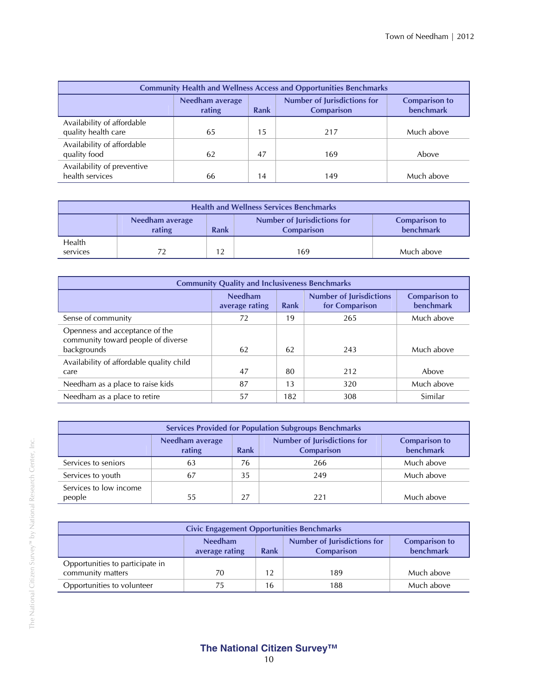| <b>Community Health and Wellness Access and Opportunities Benchmarks</b> |                                                                                                                                          |    |     |            |  |  |
|--------------------------------------------------------------------------|------------------------------------------------------------------------------------------------------------------------------------------|----|-----|------------|--|--|
|                                                                          | <b>Number of Jurisdictions for</b><br><b>Comparison to</b><br>Needham average<br>benchmark<br><b>Rank</b><br><b>Comparison</b><br>rating |    |     |            |  |  |
| Availability of affordable<br>quality health care                        | 65                                                                                                                                       | 15 | 217 | Much above |  |  |
| Availability of affordable<br>quality food                               | 62                                                                                                                                       | 47 | 169 | Above      |  |  |
| Availability of preventive<br>health services                            | 66                                                                                                                                       | 14 | 149 | Much above |  |  |

| <b>Health and Wellness Services Benchmarks</b>                                                                                    |  |    |     |            |  |  |
|-----------------------------------------------------------------------------------------------------------------------------------|--|----|-----|------------|--|--|
| <b>Number of Jurisdictions for</b><br><b>Comparison to</b><br>Needham average<br>benchmark<br>rating<br>Rank<br><b>Comparison</b> |  |    |     |            |  |  |
| Health<br>services                                                                                                                |  | 12 | 169 | Much above |  |  |

| <b>Community Quality and Inclusiveness Benchmarks</b>                               |                                  |                                   |     |            |  |  |
|-------------------------------------------------------------------------------------|----------------------------------|-----------------------------------|-----|------------|--|--|
|                                                                                     | <b>Needham</b><br>average rating | <b>Comparison to</b><br>benchmark |     |            |  |  |
| Sense of community                                                                  | 72                               | 19                                | 265 | Much above |  |  |
| Openness and acceptance of the<br>community toward people of diverse<br>backgrounds | 62                               | 62                                | 243 | Much above |  |  |
| Availability of affordable quality child<br>care                                    | 47                               | 80                                | 212 | Above      |  |  |
| Needham as a place to raise kids                                                    | 87                               | 13                                | 320 | Much above |  |  |
| Needham as a place to retire                                                        | 57                               | 182                               | 308 | Similar    |  |  |

| <b>Services Provided for Population Subgroups Benchmarks</b>                                                                             |    |    |     |            |  |  |  |
|------------------------------------------------------------------------------------------------------------------------------------------|----|----|-----|------------|--|--|--|
| <b>Number of Jurisdictions for</b><br>Needham average<br><b>Comparison to</b><br>benchmark<br>rating<br><b>Rank</b><br><b>Comparison</b> |    |    |     |            |  |  |  |
| Services to seniors                                                                                                                      | 63 | 76 | 266 | Much above |  |  |  |
| Services to youth                                                                                                                        | 67 | 35 | 249 | Much above |  |  |  |
| Services to low income<br>people                                                                                                         | 55 | 27 | 221 | Much above |  |  |  |

| <b>Civic Engagement Opportunities Benchmarks</b>     |                                                                                                                                                 |    |     |            |  |  |  |
|------------------------------------------------------|-------------------------------------------------------------------------------------------------------------------------------------------------|----|-----|------------|--|--|--|
|                                                      | Number of Jurisdictions for<br><b>Needham</b><br><b>Comparison to</b><br><b>benchmark</b><br><b>Rank</b><br><b>Comparison</b><br>average rating |    |     |            |  |  |  |
| Opportunities to participate in<br>community matters | 70                                                                                                                                              | 12 | 189 | Much above |  |  |  |
| Opportunities to volunteer                           | 75                                                                                                                                              | 16 | 188 | Much above |  |  |  |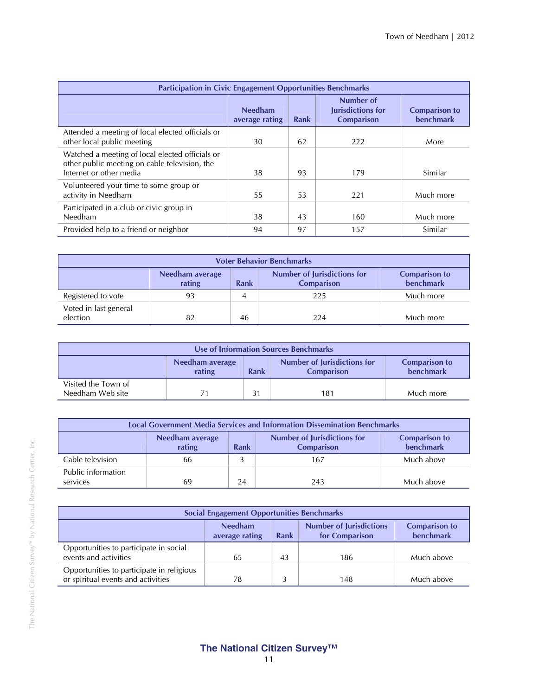| <b>Participation in Civic Engagement Opportunities Benchmarks</b>                                                           |                                  |      |                                                     |                                          |
|-----------------------------------------------------------------------------------------------------------------------------|----------------------------------|------|-----------------------------------------------------|------------------------------------------|
|                                                                                                                             | <b>Needham</b><br>average rating | Rank | Number of<br>Jurisdictions for<br><b>Comparison</b> | <b>Comparison to</b><br><b>benchmark</b> |
| Attended a meeting of local elected officials or<br>other local public meeting                                              | 30                               | 62   | 222                                                 | More                                     |
| Watched a meeting of local elected officials or<br>other public meeting on cable television, the<br>Internet or other media | 38                               | 93   | 179                                                 | Similar                                  |
| Volunteered your time to some group or<br>activity in Needham                                                               | 55                               | 53   | 221                                                 | Much more                                |
| Participated in a club or civic group in<br>Needham                                                                         | 38                               | 43   | 160                                                 | Much more                                |
| Provided help to a friend or neighbor                                                                                       | 94                               | 97   | 157                                                 | Similar                                  |

| <b>Voter Behavior Benchmarks</b>  |                                                                                                                                                 |    |     |           |  |  |  |
|-----------------------------------|-------------------------------------------------------------------------------------------------------------------------------------------------|----|-----|-----------|--|--|--|
|                                   | <b>Number of Jurisdictions for</b><br><b>Comparison to</b><br>Needham average<br><b>benchmark</b><br>rating<br><b>Rank</b><br><b>Comparison</b> |    |     |           |  |  |  |
| Registered to vote                | 93                                                                                                                                              |    | 225 | Much more |  |  |  |
| Voted in last general<br>election | 82                                                                                                                                              | 46 | 224 | Much more |  |  |  |

| Use of Information Sources Benchmarks                                                                                      |  |    |     |           |  |
|----------------------------------------------------------------------------------------------------------------------------|--|----|-----|-----------|--|
| Number of Jurisdictions for<br>Needham average<br><b>Comparison to</b><br>benchmark<br>Rank<br>rating<br><b>Comparison</b> |  |    |     |           |  |
| Visited the Town of<br>Needham Web site                                                                                    |  | 31 | 181 | Much more |  |

| <b>Local Government Media Services and Information Dissemination Benchmarks</b> |                                                                                                                                   |    |     |            |  |  |  |
|---------------------------------------------------------------------------------|-----------------------------------------------------------------------------------------------------------------------------------|----|-----|------------|--|--|--|
|                                                                                 | <b>Number of Jurisdictions for</b><br>Needham average<br><b>Comparison to</b><br>benchmark<br>rating<br><b>Comparison</b><br>Rank |    |     |            |  |  |  |
| Cable television                                                                | 66                                                                                                                                |    | 167 | Much above |  |  |  |
| Public information<br>services                                                  | 69                                                                                                                                | 24 | 243 | Much above |  |  |  |

| <b>Social Engagement Opportunities Benchmarks</b>                                                                                        |    |    |     |            |  |
|------------------------------------------------------------------------------------------------------------------------------------------|----|----|-----|------------|--|
| <b>Number of Jurisdictions</b><br><b>Needham</b><br><b>Comparison to</b><br>benchmark<br>for Comparison<br><b>Rank</b><br>average rating |    |    |     |            |  |
| Opportunities to participate in social<br>events and activities                                                                          | 65 | 43 | 186 | Much above |  |
| Opportunities to participate in religious<br>or spiritual events and activities                                                          | 78 |    | 148 | Much above |  |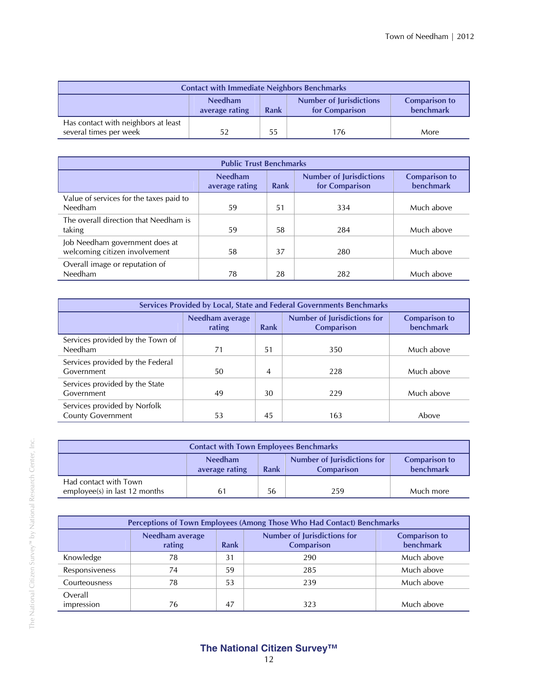| <b>Contact with Immediate Neighbors Benchmarks</b>            |                                                                                                                                                 |    |     |      |  |
|---------------------------------------------------------------|-------------------------------------------------------------------------------------------------------------------------------------------------|----|-----|------|--|
|                                                               | <b>Number of Jurisdictions</b><br><b>Needham</b><br><b>Comparison to</b><br><b>benchmark</b><br>for Comparison<br><b>Rank</b><br>average rating |    |     |      |  |
| Has contact with neighbors at least<br>several times per week | 52                                                                                                                                              | 55 | 176 | More |  |

| <b>Public Trust Benchmarks</b>          |                                                                                                                                          |    |     |            |  |  |
|-----------------------------------------|------------------------------------------------------------------------------------------------------------------------------------------|----|-----|------------|--|--|
|                                         | <b>Number of Jurisdictions</b><br><b>Comparison to</b><br><b>Needham</b><br><b>benchmark</b><br>for Comparison<br>Rank<br>average rating |    |     |            |  |  |
| Value of services for the taxes paid to |                                                                                                                                          |    |     |            |  |  |
| Needham                                 | 59                                                                                                                                       | 51 | 334 | Much above |  |  |
| The overall direction that Needham is   |                                                                                                                                          |    |     |            |  |  |
| taking                                  | 59                                                                                                                                       | 58 | 284 | Much above |  |  |
| Job Needham government does at          |                                                                                                                                          |    |     |            |  |  |
| welcoming citizen involvement           | 58                                                                                                                                       | 37 | 280 | Much above |  |  |
| Overall image or reputation of          |                                                                                                                                          |    |     |            |  |  |
| <b>Needham</b>                          | 78                                                                                                                                       | 28 | 282 | Much above |  |  |

| Services Provided by Local, State and Federal Governments Benchmarks |                           |                                          |     |            |  |
|----------------------------------------------------------------------|---------------------------|------------------------------------------|-----|------------|--|
|                                                                      | Needham average<br>rating | <b>Comparison to</b><br><b>benchmark</b> |     |            |  |
| Services provided by the Town of<br>Needham                          | 71                        | 51                                       | 350 | Much above |  |
| Services provided by the Federal<br>Government                       | 50                        | 4                                        | 228 | Much above |  |
| Services provided by the State<br>Government                         | 49                        | 30                                       | 229 | Much above |  |
| Services provided by Norfolk<br><b>County Government</b>             | 53                        | 45                                       | 163 | Above      |  |

| <b>Contact with Town Employees Benchmarks</b>                                                                                            |    |    |     |           |  |
|------------------------------------------------------------------------------------------------------------------------------------------|----|----|-----|-----------|--|
| <b>Number of Jurisdictions for</b><br><b>Needham</b><br><b>Comparison to</b><br>benchmark<br>Rank<br><b>Comparison</b><br>average rating |    |    |     |           |  |
| Had contact with Town<br>employee(s) in last 12 months                                                                                   | 61 | 56 | 259 | Much more |  |

| <b>Perceptions of Town Employees (Among Those Who Had Contact) Benchmarks</b> |                                                                                                                                   |    |     |            |  |  |
|-------------------------------------------------------------------------------|-----------------------------------------------------------------------------------------------------------------------------------|----|-----|------------|--|--|
|                                                                               | <b>Number of Jurisdictions for</b><br>Needham average<br><b>Comparison to</b><br>benchmark<br>rating<br><b>Comparison</b><br>Rank |    |     |            |  |  |
| Knowledge                                                                     | 78                                                                                                                                | 31 | 290 | Much above |  |  |
| Responsiveness                                                                | 74                                                                                                                                | 59 | 285 | Much above |  |  |
| Courteousness                                                                 | 78                                                                                                                                | 53 | 239 | Much above |  |  |
| Overall<br>impression                                                         | 76                                                                                                                                | 47 | 323 | Much above |  |  |

The National Citizen Survey™ by National Research Center, Inc.

The National Citizen Survey<sup>nu</sup> by National Research Center, Inc.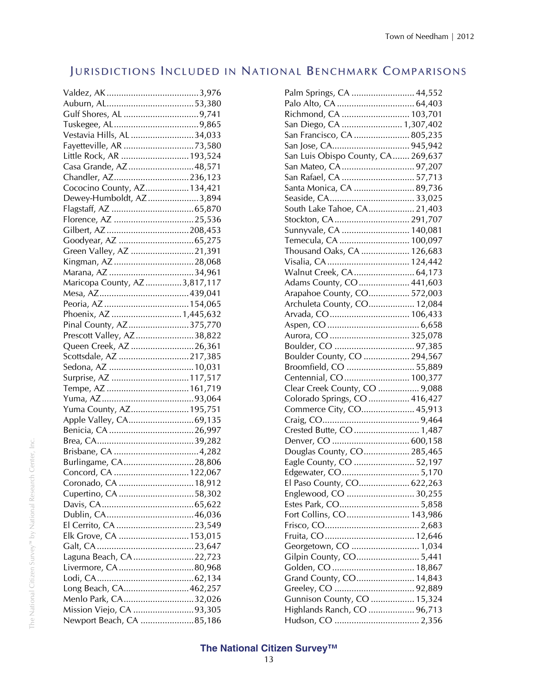## JURISDICTIONS INCLUDED IN NATIONAL BENCHMARK COMPARISONS

| Vestavia Hills, AL 34,033     |  |
|-------------------------------|--|
|                               |  |
| Little Rock, AR  193,524      |  |
| Casa Grande, AZ 48,571        |  |
| Chandler, AZ236,123           |  |
| Cococino County, AZ 134,421   |  |
| Dewey-Humboldt, AZ3,894       |  |
|                               |  |
|                               |  |
|                               |  |
|                               |  |
| Green Valley, AZ 21,391       |  |
|                               |  |
| Kingman, AZ 28,068            |  |
|                               |  |
| Maricopa County, AZ 3,817,117 |  |
|                               |  |
|                               |  |
| Phoenix, AZ  1,445,632        |  |
| Pinal County, AZ375,770       |  |
| Prescott Valley, AZ 38,822    |  |
| Queen Creek, AZ 26,361        |  |
| Scottsdale, AZ 217,385        |  |
|                               |  |
| Surprise, AZ  117,517         |  |
|                               |  |
|                               |  |
| Yuma County, AZ 195,751       |  |
|                               |  |
|                               |  |
|                               |  |
|                               |  |
| Burlingame, CA28,806          |  |
| Concord, CA 122,067           |  |
| Coronado, CA  18,912          |  |
| Cupertino, CA 58,302          |  |
|                               |  |
|                               |  |
| El Cerrito, CA 23,549         |  |
| Elk Grove, CA  153,015        |  |
|                               |  |
| Laguna Beach, CA 22,723       |  |
|                               |  |
| Livermore, CA80,968           |  |
|                               |  |
| Long Beach, CA462,257         |  |
| Menlo Park, CA32,026          |  |
| Mission Viejo, CA 93,305      |  |
| Newport Beach, CA 85,186      |  |

| Palm Springs, CA  44,552            |  |
|-------------------------------------|--|
|                                     |  |
| Richmond, CA  103,701               |  |
| San Diego, CA  1,307,402            |  |
| San Francisco, CA  805,235          |  |
| San Jose, CA 945,942                |  |
| San Luis Obispo County, CA  269,637 |  |
|                                     |  |
| San Rafael, CA  57,713              |  |
| Santa Monica, CA  89,736            |  |
|                                     |  |
| South Lake Tahoe, CA 21,403         |  |
| Stockton, CA 291,707                |  |
| Sunnyvale, CA  140,081              |  |
| Temecula, CA  100,097               |  |
| Thousand Oaks, CA  126,683          |  |
| Visalia, CA  124,442                |  |
| Walnut Creek, CA 64,173             |  |
| Adams County, CO  441,603           |  |
| Arapahoe County, CO 572,003         |  |
| Archuleta County, CO 12,084         |  |
| Arvada, CO 106,433                  |  |
|                                     |  |
|                                     |  |
|                                     |  |
|                                     |  |
| Boulder County, CO  294,567         |  |
| Broomfield, CO  55,889              |  |
| Centennial, CO  100,377             |  |
| Clear Creek County, CO  9,088       |  |
| Colorado Springs, CO  416,427       |  |
| Commerce City, CO 45,913            |  |
|                                     |  |
| Crested Butte, CO  1,487            |  |
|                                     |  |
| Douglas County, CO 285,465          |  |
| Eagle County, CO  52,197            |  |
|                                     |  |
| El Paso County, CO 622,263          |  |
| Englewood, CO  30,255               |  |
|                                     |  |
| Fort Collins, CO  143,986           |  |
|                                     |  |
|                                     |  |
| Georgetown, CO  1,034               |  |
| Gilpin County, CO 5,441             |  |
|                                     |  |
| Grand County, CO 14,843             |  |
|                                     |  |
| Gunnison County, CO  15,324         |  |
| Highlands Ranch, CO  96,713         |  |
|                                     |  |
|                                     |  |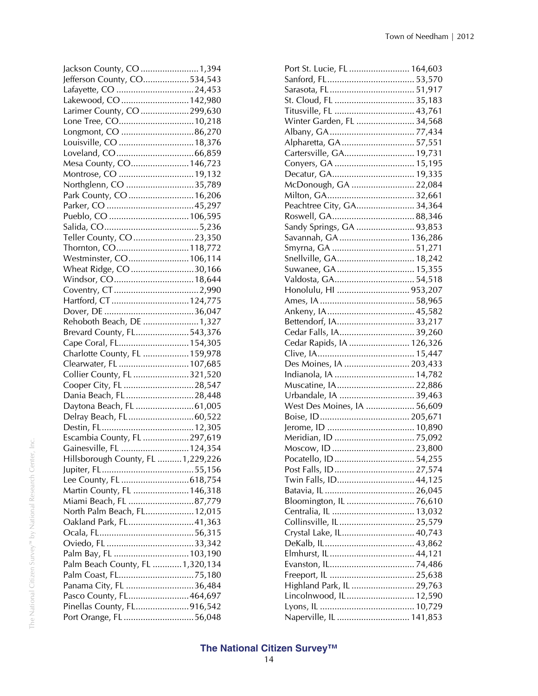| Jackson County, CO 1,394           |  |
|------------------------------------|--|
| Jefferson County, CO534,543        |  |
|                                    |  |
| Lakewood, CO  142,980              |  |
| Larimer County, CO 299,630         |  |
| Lone Tree, CO10,218                |  |
|                                    |  |
| Louisville, CO  18,376             |  |
|                                    |  |
| Mesa County, CO 146,723            |  |
|                                    |  |
| Northglenn, CO 35,789              |  |
| Park County, CO  16,206            |  |
|                                    |  |
|                                    |  |
|                                    |  |
| Teller County, CO 23,350           |  |
| Thornton, CO118,772                |  |
|                                    |  |
| Westminster, CO 106,114            |  |
| Wheat Ridge, CO 30,166             |  |
| Windsor, CO 18,644                 |  |
|                                    |  |
| Hartford, CT124,775                |  |
|                                    |  |
| Rehoboth Beach, DE  1,327          |  |
| Brevard County, FL543,376          |  |
| Cape Coral, FL154,305              |  |
| Charlotte County, FL  159,978      |  |
| Clearwater, FL  107,685            |  |
| Collier County, FL 321,520         |  |
| Cooper City, FL 28,547             |  |
| Dania Beach, FL28,448              |  |
| Daytona Beach, FL  61,005          |  |
| Delray Beach, FL60,522             |  |
|                                    |  |
| Escambia County, FL 297,619        |  |
| Gainesville, FL  124,354           |  |
| Hillsborough County, FL  1,229,226 |  |
|                                    |  |
|                                    |  |
| Lee County, FL  618,754            |  |
| Martin County, FL 146,318          |  |
| Miami Beach, FL 87,779             |  |
| North Palm Beach, FL 12,015        |  |
| Oakland Park, FL41,363             |  |
|                                    |  |
|                                    |  |
| Palm Bay, FL  103,190              |  |
| Palm Beach County, FL  1,320,134   |  |
|                                    |  |
| Panama City, FL 36,484             |  |
| Pasco County, FL464,697            |  |
| Pinellas County, FL916,542         |  |
| Port Orange, FL 56,048             |  |
|                                    |  |

| Port St. Lucie, FL  164,603 |  |
|-----------------------------|--|
|                             |  |
|                             |  |
|                             |  |
| Titusville, FL  43,761      |  |
| Winter Garden, FL  34,568   |  |
|                             |  |
| Alpharetta, GA  57,551      |  |
| Cartersville, GA 19,731     |  |
| Conyers, GA  15,195         |  |
|                             |  |
| McDonough, GA  22,084       |  |
|                             |  |
| Peachtree City, GA 34,364   |  |
|                             |  |
|                             |  |
| Sandy Springs, GA  93,853   |  |
| Savannah, GA  136,286       |  |
|                             |  |
| Snellville, GA 18,242       |  |
| Suwanee, GA 15,355          |  |
| Valdosta, GA 54,518         |  |
| Honolulu, HI  953,207       |  |
|                             |  |
|                             |  |
| Bettendorf, IA 33,217       |  |
| Cedar Falls, IA 39,260      |  |
| Cedar Rapids, IA  126,326   |  |
|                             |  |
| Des Moines, IA  203,433     |  |
| Indianola, IA  14,782       |  |
| Muscatine, IA 22,886        |  |
| Urbandale, IA  39,463       |  |
| West Des Moines, IA  56,609 |  |
|                             |  |
|                             |  |
|                             |  |
|                             |  |
|                             |  |
|                             |  |
|                             |  |
| Twin Falls, ID 44,125       |  |
|                             |  |
| Bloomington, IL  76,610     |  |
|                             |  |
| Collinsville, IL  25,579    |  |
| Crystal Lake, IL 40,743     |  |
|                             |  |
| Elmhurst, IL 44,121         |  |
|                             |  |
|                             |  |
| Highland Park, IL  29,763   |  |
| Lincolnwood, IL 12,590      |  |
|                             |  |
| Naperville, IL  141,853     |  |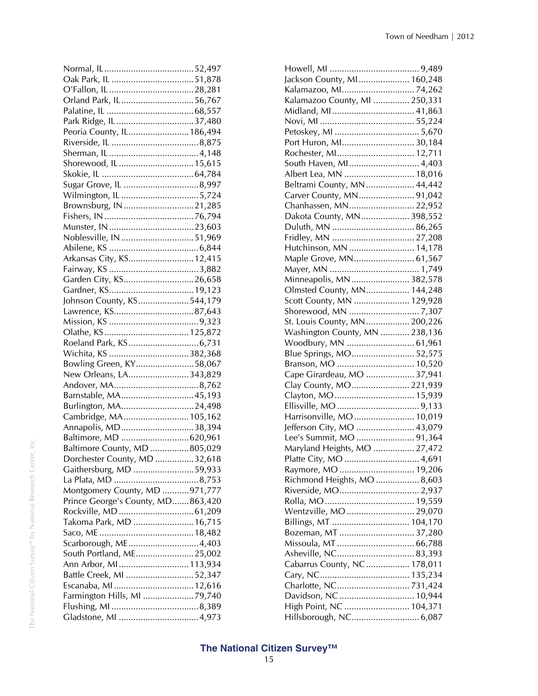| Orland Park, IL56,767             |  |
|-----------------------------------|--|
|                                   |  |
|                                   |  |
| Park Ridge, IL 37,480             |  |
| Peoria County, IL 186,494         |  |
|                                   |  |
|                                   |  |
| Shorewood, IL 15,615              |  |
|                                   |  |
|                                   |  |
|                                   |  |
| Brownsburg, IN 21,285             |  |
|                                   |  |
|                                   |  |
| Noblesville, IN 51,969            |  |
|                                   |  |
| Arkansas City, KS12,415           |  |
|                                   |  |
| Garden City, KS26,658             |  |
|                                   |  |
| Johnson County, KS544,179         |  |
|                                   |  |
|                                   |  |
|                                   |  |
|                                   |  |
|                                   |  |
| Wichita, KS 382,368               |  |
| Bowling Green, KY58,067           |  |
| New Orleans, LA343,829            |  |
|                                   |  |
| Barnstable, MA45,193              |  |
| Burlington, MA24,498              |  |
| Cambridge, MA 105,162             |  |
| Annapolis, MD38,394               |  |
| Baltimore, MD 620,961             |  |
| Baltimore County, MD 805,029      |  |
| Dorchester County, MD 32,618      |  |
| Gaithersburg, MD 59,933           |  |
|                                   |  |
| Montgomery County, MD 971,777     |  |
| Prince George's County, MD863,420 |  |
|                                   |  |
| Takoma Park, MD 16,715            |  |
|                                   |  |
| Scarborough, ME4,403              |  |
| South Portland, ME25,002          |  |
| Ann Arbor, MI113,934              |  |
|                                   |  |
| Battle Creek, MI 52,347           |  |
| Escanaba, MI  12,616              |  |
| Farmington Hills, MI 79,740       |  |
|                                   |  |
|                                   |  |

| Jackson County, MI 160,248     |  |
|--------------------------------|--|
| Kalamazoo, Ml 74,262           |  |
| Kalamazoo County, MI  250,331  |  |
| Midland, MI 41,863             |  |
|                                |  |
|                                |  |
| Port Huron, MI 30,184          |  |
| Rochester, MI 12,711           |  |
| South Haven, MI 4,403          |  |
| Albert Lea, MN  18,016         |  |
| Beltrami County, MN  44,442    |  |
| Carver County, MN 91,042       |  |
| Chanhassen, MN 22,952          |  |
|                                |  |
| Dakota County, MN 398,552      |  |
|                                |  |
|                                |  |
| Hutchinson, MN  14,178         |  |
| Maple Grove, MN 61,567         |  |
|                                |  |
| Minneapolis, MN  382,578       |  |
| Olmsted County, MN 144,248     |  |
| Scott County, MN  129,928      |  |
|                                |  |
| St. Louis County, MN  200,226  |  |
| Washington County, MN  238,136 |  |
| Woodbury, MN  61,961           |  |
| Blue Springs, MO 52,575        |  |
| Branson, MO  10,520            |  |
| Cape Girardeau, MO  37,941     |  |
| Clay County, MO 221,939        |  |
|                                |  |
|                                |  |
| Harrisonville, MO 10,019       |  |
| Jefferson City, MO  43,079     |  |
| Lee's Summit, MO  91,364       |  |
| Maryland Heights, MO  27,472   |  |
| Platte City, MO  4,691         |  |
|                                |  |
| Raymore, MO  19,206            |  |
| Richmond Heights, MO  8,603    |  |
| Riverside, MO 2,937            |  |
|                                |  |
| Wentzville, MO  29,070         |  |
| Billings, MT  104,170          |  |
| Bozeman, MT  37,280            |  |
| Missoula, MT  66,788           |  |
| Asheville, NC 83,393           |  |
| Cabarrus County, NC  178,011   |  |
|                                |  |
|                                |  |
| Davidson, NC  10,944           |  |
| High Point, NC  104,371        |  |
| Hillsborough, NC 6,087         |  |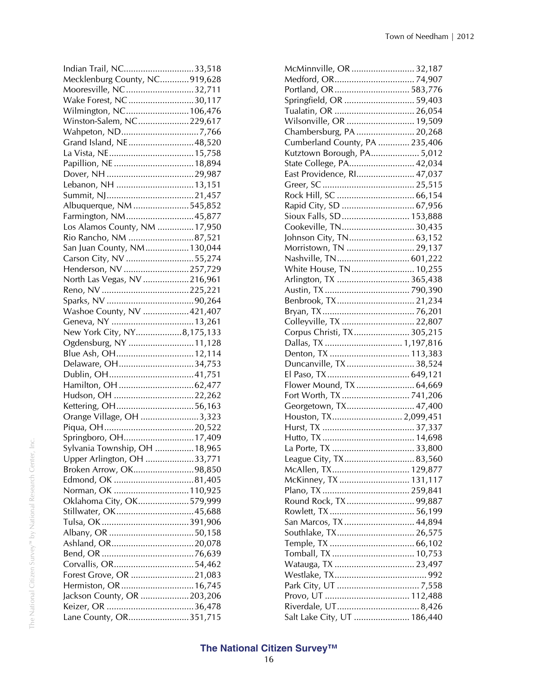| Indian Trail, NC33,518        |  |
|-------------------------------|--|
| Mecklenburg County, NC919,628 |  |
| Mooresville, NC32,711         |  |
| Wake Forest, NC30,117         |  |
| Wilmington, NC106,476         |  |
| Winston-Salem, NC229,617      |  |
|                               |  |
|                               |  |
| Grand Island, NE48,520        |  |
|                               |  |
| Papillion, NE  18,894         |  |
|                               |  |
| Lebanon, NH 13,151            |  |
|                               |  |
| Albuquerque, NM 545,852       |  |
| Farmington, NM45,877          |  |
| Los Alamos County, NM 17,950  |  |
| Rio Rancho, NM 87,521         |  |
| San Juan County, NM 130,044   |  |
| Carson City, NV 55,274        |  |
| Henderson, NV 257,729         |  |
| North Las Vegas, NV 216,961   |  |
|                               |  |
|                               |  |
| Washoe County, NV 421,407     |  |
|                               |  |
|                               |  |
| New York City, NY8,175,133    |  |
| Ogdensburg, NY  11,128        |  |
| Blue Ash, OH12,114            |  |
| Delaware, OH34,753            |  |
| Dublin, OH41,751              |  |
|                               |  |
| Hudson, OH 22,262             |  |
| Kettering, OH56,163           |  |
| Orange Village, OH 3,323      |  |
|                               |  |
| Springboro, OH 17,409         |  |
| Sylvania Township, OH  18,965 |  |
| Upper Arlington, OH 33,771    |  |
| Broken Arrow, OK98,850        |  |
|                               |  |
| Norman, OK 110,925            |  |
| Oklahoma City, OK579,999      |  |
| Stillwater, OK45,688          |  |
|                               |  |
|                               |  |
|                               |  |
|                               |  |
|                               |  |
| Corvallis, OR54,462           |  |
| Forest Grove, OR 21,083       |  |
| Hermiston, OR  16,745         |  |
| Jackson County, OR 203,206    |  |
|                               |  |
| Lane County, OR351,715        |  |

| McMinnville, OR  32,187        |  |
|--------------------------------|--|
|                                |  |
| Portland, OR 583,776           |  |
| Springfield, OR  59,403        |  |
| Tualatin, OR  26,054           |  |
| Wilsonville, OR  19,509        |  |
| Chambersburg, PA  20,268       |  |
| Cumberland County, PA  235,406 |  |
| Kutztown Borough, PA 5,012     |  |
| State College, PA 42,034       |  |
| East Providence, RI 47,037     |  |
|                                |  |
|                                |  |
|                                |  |
|                                |  |
| Sioux Falls, SD  153,888       |  |
| Cookeville, TN 30,435          |  |
| Johnson City, TN 63,152        |  |
| Morristown, TN  29,137         |  |
| Nashville, TN 601,222          |  |
| White House, TN 10,255         |  |
| Arlington, TX  365,438         |  |
|                                |  |
| Benbrook, TX 21,234            |  |
|                                |  |
| Colleyville, TX  22,807        |  |
| Corpus Christi, TX 305,215     |  |
| Dallas, TX  1,197,816          |  |
|                                |  |
| Duncanville, TX 38,524         |  |
|                                |  |
| Flower Mound, TX  64,669       |  |
| Fort Worth, TX  741,206        |  |
| Georgetown, TX 47,400          |  |
|                                |  |
| Houston, TX 2,099,451          |  |
|                                |  |
|                                |  |
|                                |  |
| League City, TX 83,560         |  |
| McAllen, TX 129,877            |  |
| McKinney, TX  131,117          |  |
|                                |  |
| Round Rock, TX 99,887          |  |
|                                |  |
| San Marcos, TX  44,894         |  |
| Southlake, TX 26,575           |  |
|                                |  |
|                                |  |
| Watauga, TX  23,497            |  |
|                                |  |
|                                |  |
|                                |  |
|                                |  |
| Salt Lake City, UT  186,440    |  |
|                                |  |